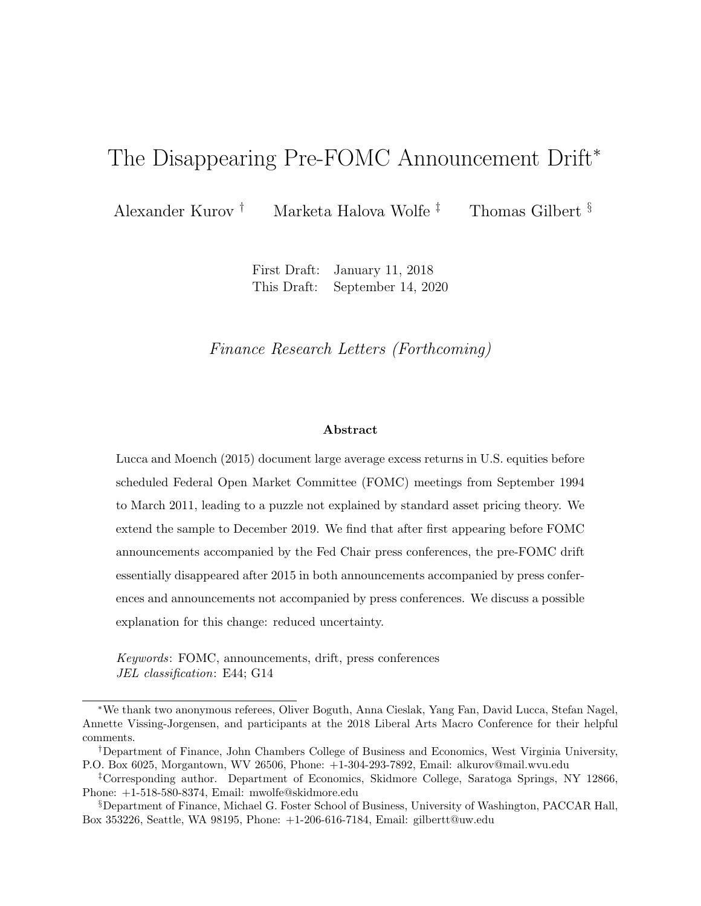# The Disappearing Pre-FOMC Announcement Drift<sup>\*</sup>

Alexander Kurov † Marketa Halova Wolfe ‡ Thomas Gilbert §

First Draft: January 11, 2018 This Draft: September 14, 2020

Finance Research Letters (Forthcoming)

#### Abstract

Lucca and Moench (2015) document large average excess returns in U.S. equities before scheduled Federal Open Market Committee (FOMC) meetings from September 1994 to March 2011, leading to a puzzle not explained by standard asset pricing theory. We extend the sample to December 2019. We find that after first appearing before FOMC announcements accompanied by the Fed Chair press conferences, the pre-FOMC drift essentially disappeared after 2015 in both announcements accompanied by press conferences and announcements not accompanied by press conferences. We discuss a possible explanation for this change: reduced uncertainty.

Keywords: FOMC, announcements, drift, press conferences JEL classification: E44; G14

<sup>∗</sup>We thank two anonymous referees, Oliver Boguth, Anna Cieslak, Yang Fan, David Lucca, Stefan Nagel, Annette Vissing-Jorgensen, and participants at the 2018 Liberal Arts Macro Conference for their helpful comments.

<sup>†</sup>Department of Finance, John Chambers College of Business and Economics, West Virginia University, P.O. Box 6025, Morgantown, WV 26506, Phone: +1-304-293-7892, Email: alkurov@mail.wvu.edu

<sup>‡</sup>Corresponding author. Department of Economics, Skidmore College, Saratoga Springs, NY 12866, Phone: +1-518-580-8374, Email: mwolfe@skidmore.edu

<sup>§</sup>Department of Finance, Michael G. Foster School of Business, University of Washington, PACCAR Hall, Box 353226, Seattle, WA 98195, Phone: +1-206-616-7184, Email: gilbertt@uw.edu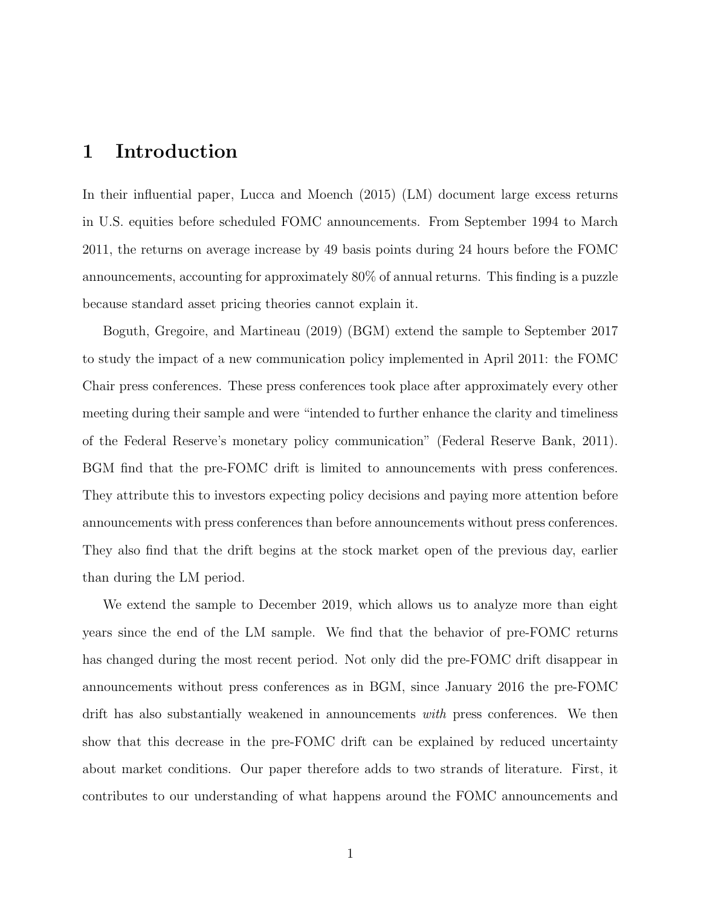## 1 Introduction

In their influential paper, Lucca and Moench (2015) (LM) document large excess returns in U.S. equities before scheduled FOMC announcements. From September 1994 to March 2011, the returns on average increase by 49 basis points during 24 hours before the FOMC announcements, accounting for approximately 80% of annual returns. This finding is a puzzle because standard asset pricing theories cannot explain it.

Boguth, Gregoire, and Martineau (2019) (BGM) extend the sample to September 2017 to study the impact of a new communication policy implemented in April 2011: the FOMC Chair press conferences. These press conferences took place after approximately every other meeting during their sample and were "intended to further enhance the clarity and timeliness of the Federal Reserve's monetary policy communication" (Federal Reserve Bank, 2011). BGM find that the pre-FOMC drift is limited to announcements with press conferences. They attribute this to investors expecting policy decisions and paying more attention before announcements with press conferences than before announcements without press conferences. They also find that the drift begins at the stock market open of the previous day, earlier than during the LM period.

We extend the sample to December 2019, which allows us to analyze more than eight years since the end of the LM sample. We find that the behavior of pre-FOMC returns has changed during the most recent period. Not only did the pre-FOMC drift disappear in announcements without press conferences as in BGM, since January 2016 the pre-FOMC drift has also substantially weakened in announcements with press conferences. We then show that this decrease in the pre-FOMC drift can be explained by reduced uncertainty about market conditions. Our paper therefore adds to two strands of literature. First, it contributes to our understanding of what happens around the FOMC announcements and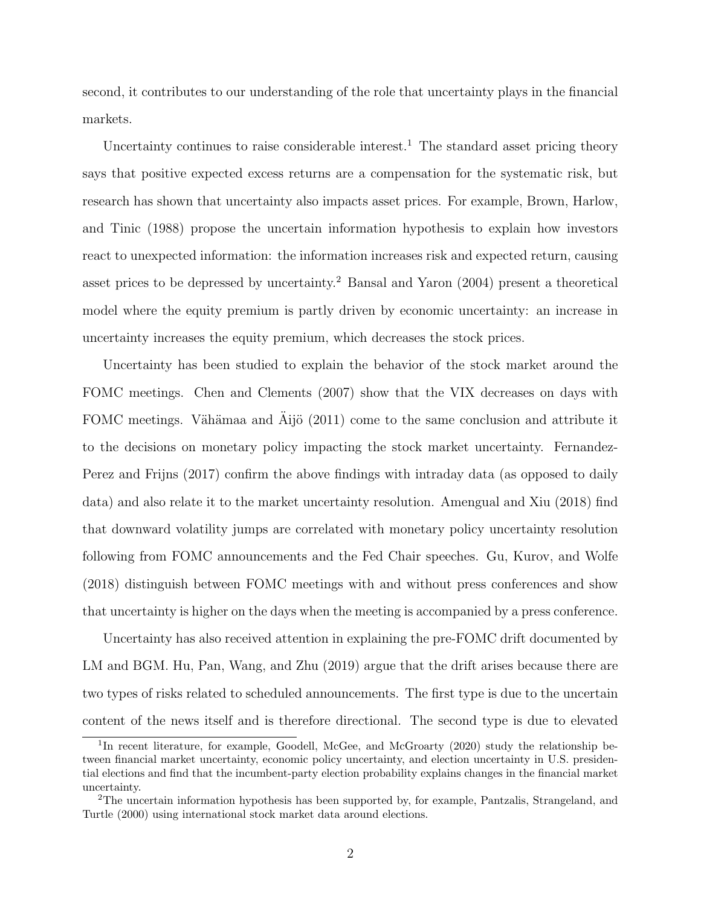second, it contributes to our understanding of the role that uncertainty plays in the financial markets.

Uncertainty continues to raise considerable interest.<sup>1</sup> The standard asset pricing theory says that positive expected excess returns are a compensation for the systematic risk, but research has shown that uncertainty also impacts asset prices. For example, Brown, Harlow, and Tinic (1988) propose the uncertain information hypothesis to explain how investors react to unexpected information: the information increases risk and expected return, causing asset prices to be depressed by uncertainty.<sup>2</sup> Bansal and Yaron (2004) present a theoretical model where the equity premium is partly driven by economic uncertainty: an increase in uncertainty increases the equity premium, which decreases the stock prices.

Uncertainty has been studied to explain the behavior of the stock market around the FOMC meetings. Chen and Clements (2007) show that the VIX decreases on days with FOMC meetings. Vähämaa and  $\tilde{A}$ ijö (2011) come to the same conclusion and attribute it to the decisions on monetary policy impacting the stock market uncertainty. Fernandez-Perez and Frijns (2017) confirm the above findings with intraday data (as opposed to daily data) and also relate it to the market uncertainty resolution. Amengual and Xiu (2018) find that downward volatility jumps are correlated with monetary policy uncertainty resolution following from FOMC announcements and the Fed Chair speeches. Gu, Kurov, and Wolfe (2018) distinguish between FOMC meetings with and without press conferences and show that uncertainty is higher on the days when the meeting is accompanied by a press conference.

Uncertainty has also received attention in explaining the pre-FOMC drift documented by LM and BGM. Hu, Pan, Wang, and Zhu (2019) argue that the drift arises because there are two types of risks related to scheduled announcements. The first type is due to the uncertain content of the news itself and is therefore directional. The second type is due to elevated

<sup>&</sup>lt;sup>1</sup>In recent literature, for example, Goodell, McGee, and McGroarty (2020) study the relationship between financial market uncertainty, economic policy uncertainty, and election uncertainty in U.S. presidential elections and find that the incumbent-party election probability explains changes in the financial market uncertainty.

<sup>2</sup>The uncertain information hypothesis has been supported by, for example, Pantzalis, Strangeland, and Turtle (2000) using international stock market data around elections.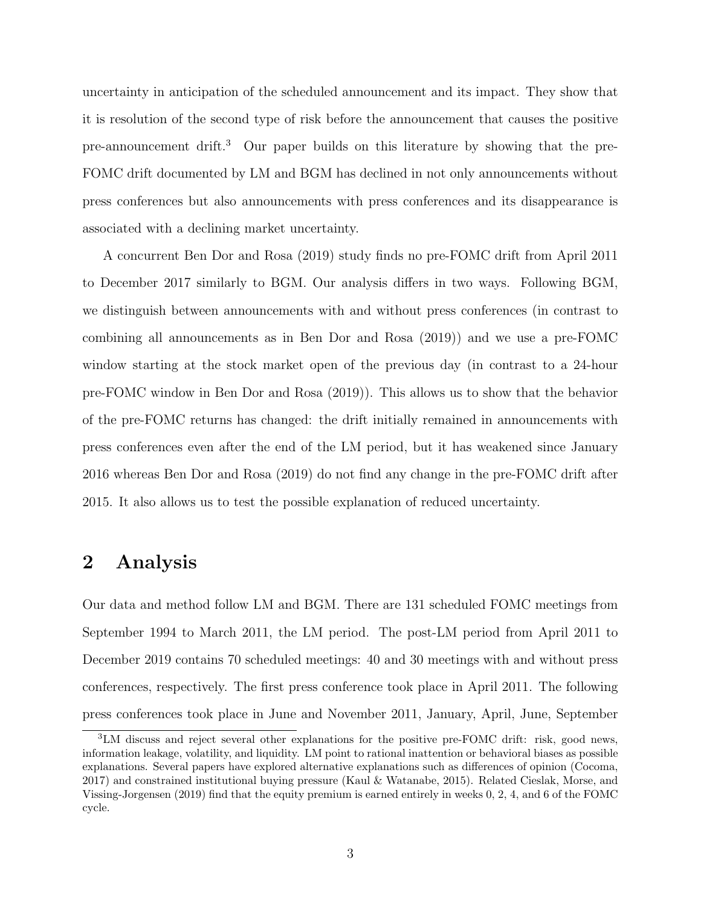uncertainty in anticipation of the scheduled announcement and its impact. They show that it is resolution of the second type of risk before the announcement that causes the positive pre-announcement drift.<sup>3</sup> Our paper builds on this literature by showing that the pre-FOMC drift documented by LM and BGM has declined in not only announcements without press conferences but also announcements with press conferences and its disappearance is associated with a declining market uncertainty.

A concurrent Ben Dor and Rosa (2019) study finds no pre-FOMC drift from April 2011 to December 2017 similarly to BGM. Our analysis differs in two ways. Following BGM, we distinguish between announcements with and without press conferences (in contrast to combining all announcements as in Ben Dor and Rosa (2019)) and we use a pre-FOMC window starting at the stock market open of the previous day (in contrast to a 24-hour pre-FOMC window in Ben Dor and Rosa (2019)). This allows us to show that the behavior of the pre-FOMC returns has changed: the drift initially remained in announcements with press conferences even after the end of the LM period, but it has weakened since January 2016 whereas Ben Dor and Rosa (2019) do not find any change in the pre-FOMC drift after 2015. It also allows us to test the possible explanation of reduced uncertainty.

## 2 Analysis

Our data and method follow LM and BGM. There are 131 scheduled FOMC meetings from September 1994 to March 2011, the LM period. The post-LM period from April 2011 to December 2019 contains 70 scheduled meetings: 40 and 30 meetings with and without press conferences, respectively. The first press conference took place in April 2011. The following press conferences took place in June and November 2011, January, April, June, September

<sup>3</sup>LM discuss and reject several other explanations for the positive pre-FOMC drift: risk, good news, information leakage, volatility, and liquidity. LM point to rational inattention or behavioral biases as possible explanations. Several papers have explored alternative explanations such as differences of opinion (Cocoma, 2017) and constrained institutional buying pressure (Kaul & Watanabe, 2015). Related Cieslak, Morse, and Vissing-Jorgensen (2019) find that the equity premium is earned entirely in weeks 0, 2, 4, and 6 of the FOMC cycle.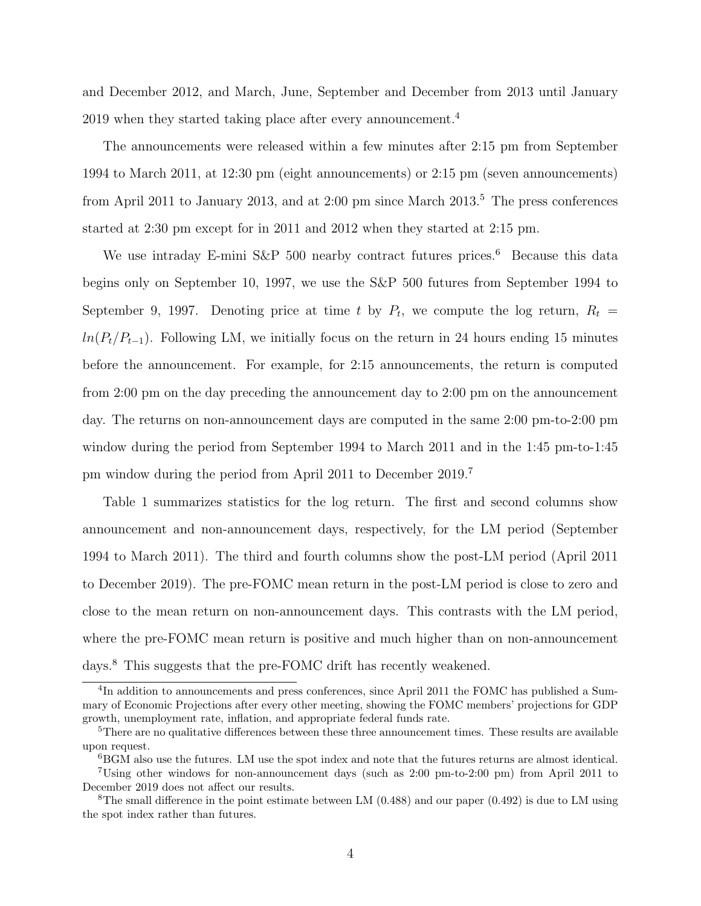and December 2012, and March, June, September and December from 2013 until January 2019 when they started taking place after every announcement.<sup>4</sup>

The announcements were released within a few minutes after 2:15 pm from September 1994 to March 2011, at 12:30 pm (eight announcements) or 2:15 pm (seven announcements) from April 2011 to January 2013, and at 2:00 pm since March  $2013<sup>5</sup>$ . The press conferences started at 2:30 pm except for in 2011 and 2012 when they started at 2:15 pm.

We use intraday E-mini S&P 500 nearby contract futures prices.<sup>6</sup> Because this data begins only on September 10, 1997, we use the S&P 500 futures from September 1994 to September 9, 1997. Denoting price at time t by  $P_t$ , we compute the log return,  $R_t =$  $ln(P_t/P_{t-1})$ . Following LM, we initially focus on the return in 24 hours ending 15 minutes before the announcement. For example, for 2:15 announcements, the return is computed from 2:00 pm on the day preceding the announcement day to 2:00 pm on the announcement day. The returns on non-announcement days are computed in the same 2:00 pm-to-2:00 pm window during the period from September 1994 to March 2011 and in the 1:45 pm-to-1:45 pm window during the period from April 2011 to December 2019.<sup>7</sup>

Table 1 summarizes statistics for the log return. The first and second columns show announcement and non-announcement days, respectively, for the LM period (September 1994 to March 2011). The third and fourth columns show the post-LM period (April 2011 to December 2019). The pre-FOMC mean return in the post-LM period is close to zero and close to the mean return on non-announcement days. This contrasts with the LM period, where the pre-FOMC mean return is positive and much higher than on non-announcement days.<sup>8</sup> This suggests that the pre-FOMC drift has recently weakened.

<sup>&</sup>lt;sup>4</sup>In addition to announcements and press conferences, since April 2011 the FOMC has published a Summary of Economic Projections after every other meeting, showing the FOMC members' projections for GDP growth, unemployment rate, inflation, and appropriate federal funds rate.

<sup>&</sup>lt;sup>5</sup>There are no qualitative differences between these three announcement times. These results are available upon request.

<sup>6</sup>BGM also use the futures. LM use the spot index and note that the futures returns are almost identical.

<sup>7</sup>Using other windows for non-announcement days (such as 2:00 pm-to-2:00 pm) from April 2011 to December 2019 does not affect our results.

<sup>&</sup>lt;sup>8</sup>The small difference in the point estimate between LM  $(0.488)$  and our paper  $(0.492)$  is due to LM using the spot index rather than futures.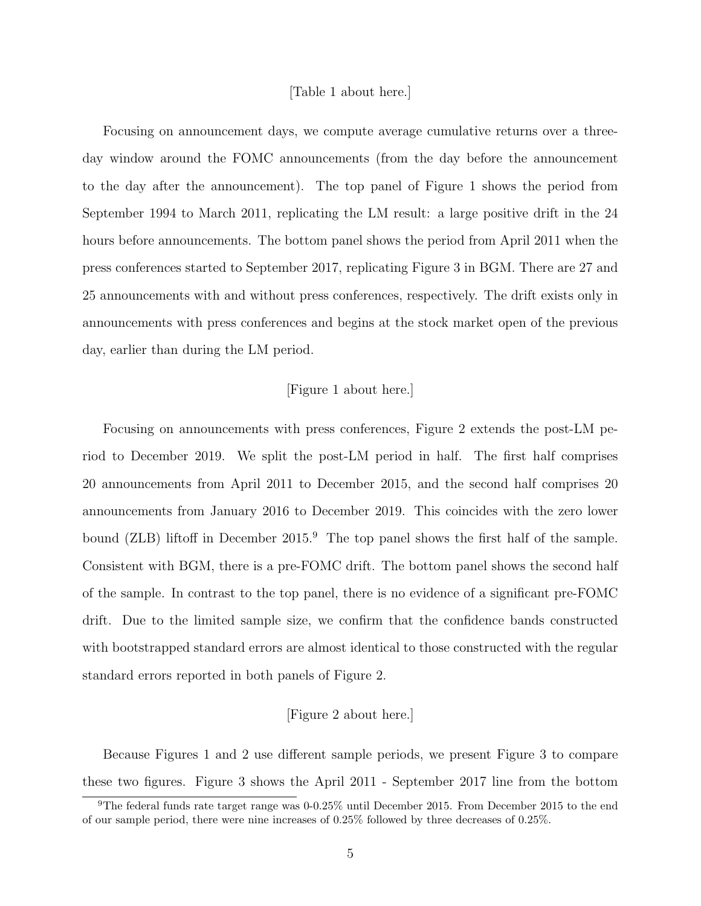#### [Table 1 about here.]

Focusing on announcement days, we compute average cumulative returns over a threeday window around the FOMC announcements (from the day before the announcement to the day after the announcement). The top panel of Figure 1 shows the period from September 1994 to March 2011, replicating the LM result: a large positive drift in the 24 hours before announcements. The bottom panel shows the period from April 2011 when the press conferences started to September 2017, replicating Figure 3 in BGM. There are 27 and 25 announcements with and without press conferences, respectively. The drift exists only in announcements with press conferences and begins at the stock market open of the previous day, earlier than during the LM period.

#### [Figure 1 about here.]

Focusing on announcements with press conferences, Figure 2 extends the post-LM period to December 2019. We split the post-LM period in half. The first half comprises 20 announcements from April 2011 to December 2015, and the second half comprises 20 announcements from January 2016 to December 2019. This coincides with the zero lower bound (ZLB) liftoff in December 2015.<sup>9</sup> The top panel shows the first half of the sample. Consistent with BGM, there is a pre-FOMC drift. The bottom panel shows the second half of the sample. In contrast to the top panel, there is no evidence of a significant pre-FOMC drift. Due to the limited sample size, we confirm that the confidence bands constructed with bootstrapped standard errors are almost identical to those constructed with the regular standard errors reported in both panels of Figure 2.

### [Figure 2 about here.]

Because Figures 1 and 2 use different sample periods, we present Figure 3 to compare these two figures. Figure 3 shows the April 2011 - September 2017 line from the bottom

<sup>9</sup>The federal funds rate target range was 0-0.25% until December 2015. From December 2015 to the end of our sample period, there were nine increases of 0.25% followed by three decreases of 0.25%.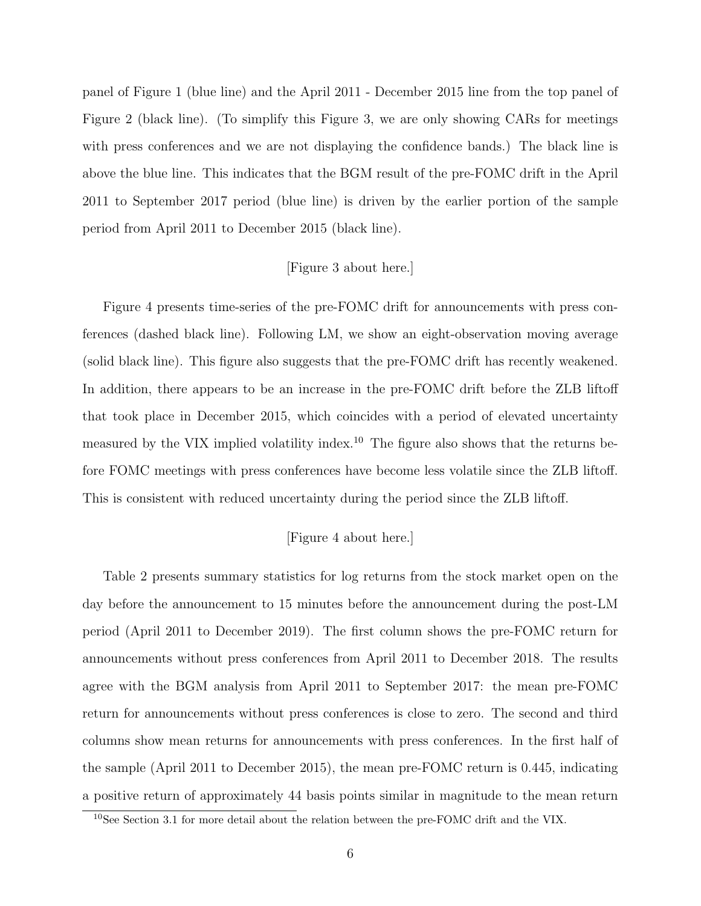panel of Figure 1 (blue line) and the April 2011 - December 2015 line from the top panel of Figure 2 (black line). (To simplify this Figure 3, we are only showing CARs for meetings with press conferences and we are not displaying the confidence bands.) The black line is above the blue line. This indicates that the BGM result of the pre-FOMC drift in the April 2011 to September 2017 period (blue line) is driven by the earlier portion of the sample period from April 2011 to December 2015 (black line).

### [Figure 3 about here.]

Figure 4 presents time-series of the pre-FOMC drift for announcements with press conferences (dashed black line). Following LM, we show an eight-observation moving average (solid black line). This figure also suggests that the pre-FOMC drift has recently weakened. In addition, there appears to be an increase in the pre-FOMC drift before the ZLB liftoff that took place in December 2015, which coincides with a period of elevated uncertainty measured by the VIX implied volatility index.<sup>10</sup> The figure also shows that the returns before FOMC meetings with press conferences have become less volatile since the ZLB liftoff. This is consistent with reduced uncertainty during the period since the ZLB liftoff.

#### [Figure 4 about here.]

Table 2 presents summary statistics for log returns from the stock market open on the day before the announcement to 15 minutes before the announcement during the post-LM period (April 2011 to December 2019). The first column shows the pre-FOMC return for announcements without press conferences from April 2011 to December 2018. The results agree with the BGM analysis from April 2011 to September 2017: the mean pre-FOMC return for announcements without press conferences is close to zero. The second and third columns show mean returns for announcements with press conferences. In the first half of the sample (April 2011 to December 2015), the mean pre-FOMC return is 0.445, indicating a positive return of approximately 44 basis points similar in magnitude to the mean return

 $10$ See Section 3.1 for more detail about the relation between the pre-FOMC drift and the VIX.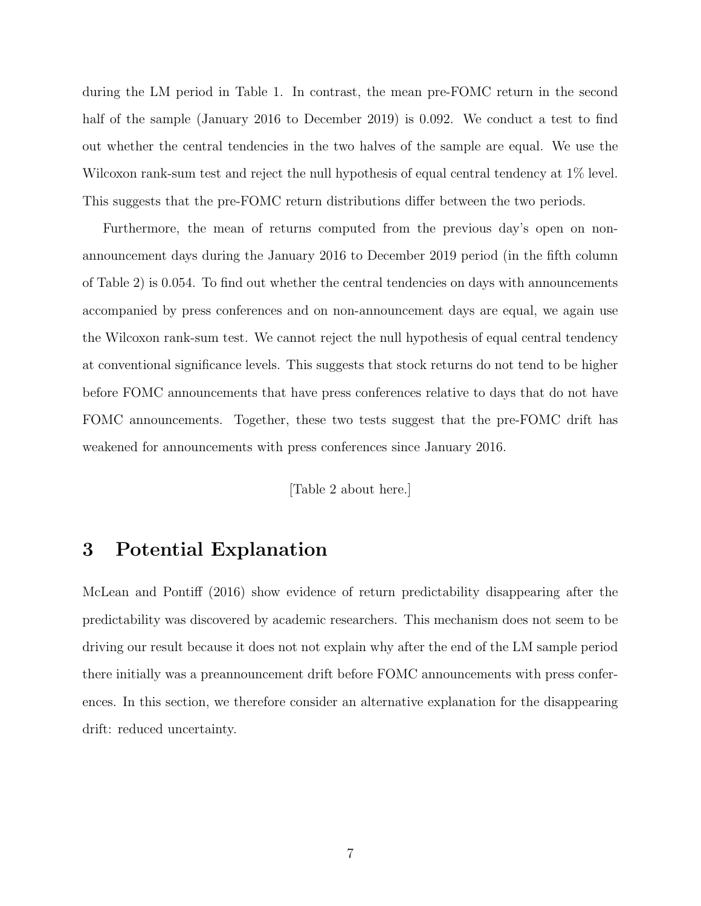during the LM period in Table 1. In contrast, the mean pre-FOMC return in the second half of the sample (January 2016 to December 2019) is 0.092. We conduct a test to find out whether the central tendencies in the two halves of the sample are equal. We use the Wilcoxon rank-sum test and reject the null hypothesis of equal central tendency at 1% level. This suggests that the pre-FOMC return distributions differ between the two periods.

Furthermore, the mean of returns computed from the previous day's open on nonannouncement days during the January 2016 to December 2019 period (in the fifth column of Table 2) is 0.054. To find out whether the central tendencies on days with announcements accompanied by press conferences and on non-announcement days are equal, we again use the Wilcoxon rank-sum test. We cannot reject the null hypothesis of equal central tendency at conventional significance levels. This suggests that stock returns do not tend to be higher before FOMC announcements that have press conferences relative to days that do not have FOMC announcements. Together, these two tests suggest that the pre-FOMC drift has weakened for announcements with press conferences since January 2016.

[Table 2 about here.]

## 3 Potential Explanation

McLean and Pontiff (2016) show evidence of return predictability disappearing after the predictability was discovered by academic researchers. This mechanism does not seem to be driving our result because it does not not explain why after the end of the LM sample period there initially was a preannouncement drift before FOMC announcements with press conferences. In this section, we therefore consider an alternative explanation for the disappearing drift: reduced uncertainty.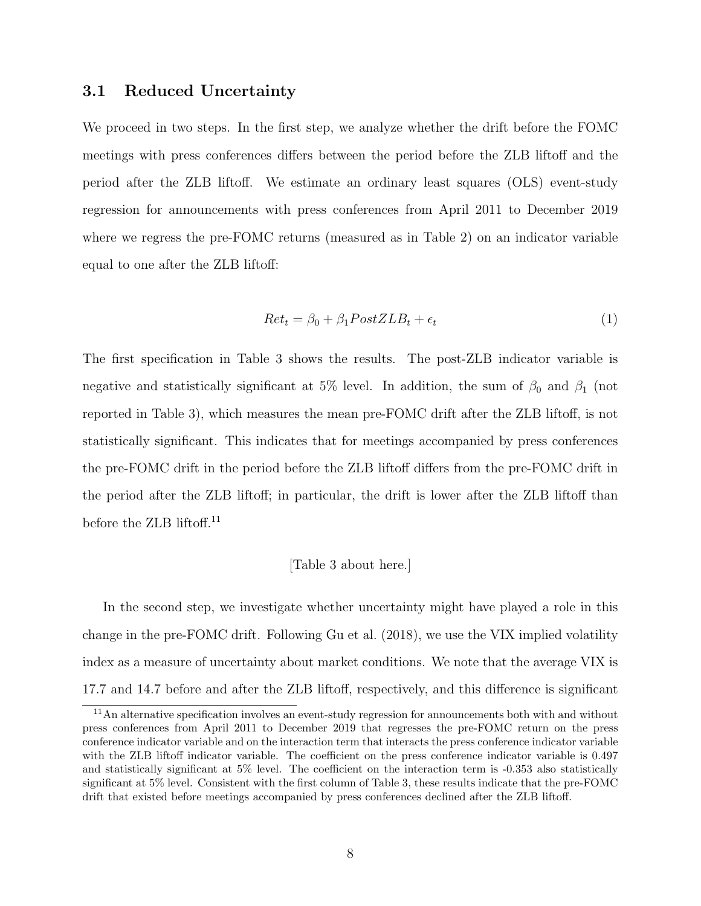### 3.1 Reduced Uncertainty

We proceed in two steps. In the first step, we analyze whether the drift before the FOMC meetings with press conferences differs between the period before the ZLB liftoff and the period after the ZLB liftoff. We estimate an ordinary least squares (OLS) event-study regression for announcements with press conferences from April 2011 to December 2019 where we regress the pre-FOMC returns (measured as in Table 2) on an indicator variable equal to one after the ZLB liftoff:

$$
Ret_t = \beta_0 + \beta_1 PostZLB_t + \epsilon_t \tag{1}
$$

The first specification in Table 3 shows the results. The post-ZLB indicator variable is negative and statistically significant at 5% level. In addition, the sum of  $\beta_0$  and  $\beta_1$  (not reported in Table 3), which measures the mean pre-FOMC drift after the ZLB liftoff, is not statistically significant. This indicates that for meetings accompanied by press conferences the pre-FOMC drift in the period before the ZLB liftoff differs from the pre-FOMC drift in the period after the ZLB liftoff; in particular, the drift is lower after the ZLB liftoff than before the ZLB liftoff.<sup>11</sup>

#### [Table 3 about here.]

In the second step, we investigate whether uncertainty might have played a role in this change in the pre-FOMC drift. Following Gu et al. (2018), we use the VIX implied volatility index as a measure of uncertainty about market conditions. We note that the average VIX is 17.7 and 14.7 before and after the ZLB liftoff, respectively, and this difference is significant

<sup>11</sup>An alternative specification involves an event-study regression for announcements both with and without press conferences from April 2011 to December 2019 that regresses the pre-FOMC return on the press conference indicator variable and on the interaction term that interacts the press conference indicator variable with the ZLB liftoff indicator variable. The coefficient on the press conference indicator variable is 0.497 and statistically significant at 5% level. The coefficient on the interaction term is -0.353 also statistically significant at 5% level. Consistent with the first column of Table 3, these results indicate that the pre-FOMC drift that existed before meetings accompanied by press conferences declined after the ZLB liftoff.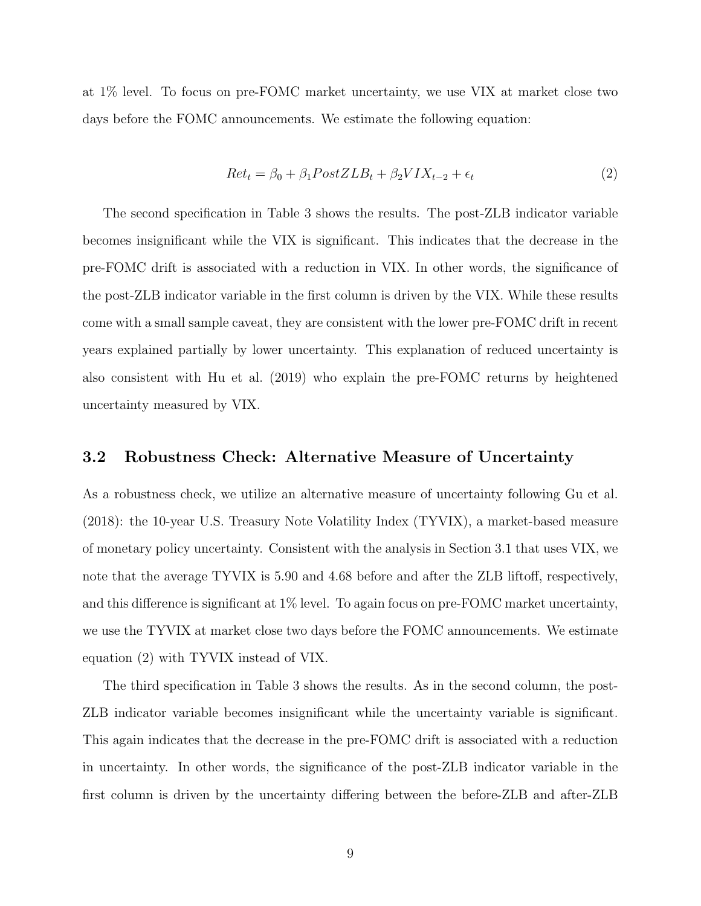at 1% level. To focus on pre-FOMC market uncertainty, we use VIX at market close two days before the FOMC announcements. We estimate the following equation:

$$
Ret_t = \beta_0 + \beta_1 PostZLB_t + \beta_2 VIX_{t-2} + \epsilon_t \tag{2}
$$

The second specification in Table 3 shows the results. The post-ZLB indicator variable becomes insignificant while the VIX is significant. This indicates that the decrease in the pre-FOMC drift is associated with a reduction in VIX. In other words, the significance of the post-ZLB indicator variable in the first column is driven by the VIX. While these results come with a small sample caveat, they are consistent with the lower pre-FOMC drift in recent years explained partially by lower uncertainty. This explanation of reduced uncertainty is also consistent with Hu et al. (2019) who explain the pre-FOMC returns by heightened uncertainty measured by VIX.

### 3.2 Robustness Check: Alternative Measure of Uncertainty

As a robustness check, we utilize an alternative measure of uncertainty following Gu et al. (2018): the 10-year U.S. Treasury Note Volatility Index (TYVIX), a market-based measure of monetary policy uncertainty. Consistent with the analysis in Section 3.1 that uses VIX, we note that the average TYVIX is 5.90 and 4.68 before and after the ZLB liftoff, respectively, and this difference is significant at 1% level. To again focus on pre-FOMC market uncertainty, we use the TYVIX at market close two days before the FOMC announcements. We estimate equation (2) with TYVIX instead of VIX.

The third specification in Table 3 shows the results. As in the second column, the post-ZLB indicator variable becomes insignificant while the uncertainty variable is significant. This again indicates that the decrease in the pre-FOMC drift is associated with a reduction in uncertainty. In other words, the significance of the post-ZLB indicator variable in the first column is driven by the uncertainty differing between the before-ZLB and after-ZLB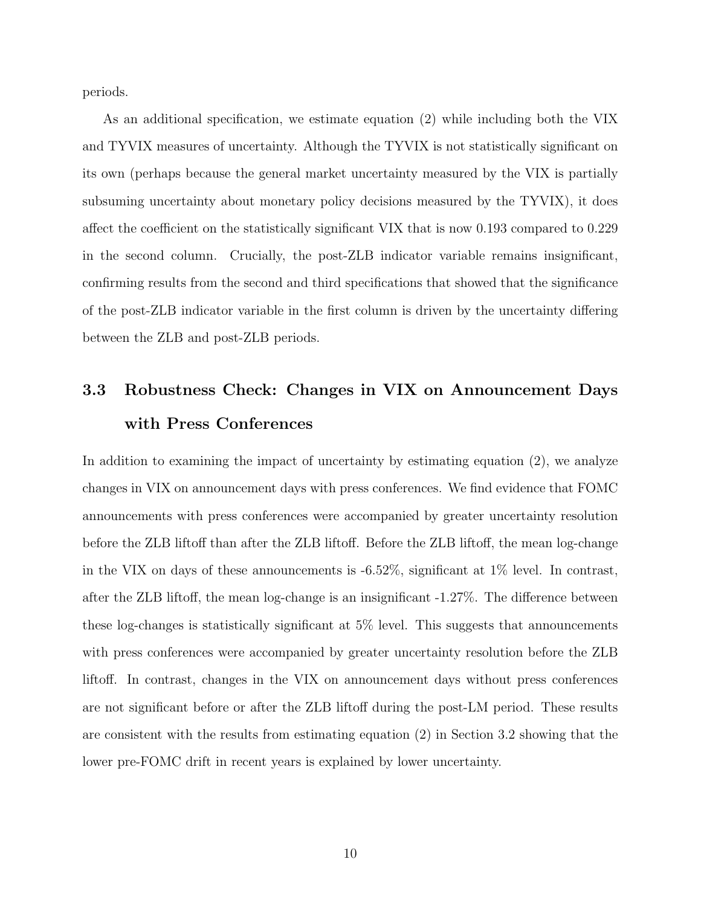periods.

As an additional specification, we estimate equation (2) while including both the VIX and TYVIX measures of uncertainty. Although the TYVIX is not statistically significant on its own (perhaps because the general market uncertainty measured by the VIX is partially subsuming uncertainty about monetary policy decisions measured by the TYVIX), it does affect the coefficient on the statistically significant VIX that is now 0.193 compared to 0.229 in the second column. Crucially, the post-ZLB indicator variable remains insignificant, confirming results from the second and third specifications that showed that the significance of the post-ZLB indicator variable in the first column is driven by the uncertainty differing between the ZLB and post-ZLB periods.

# 3.3 Robustness Check: Changes in VIX on Announcement Days with Press Conferences

In addition to examining the impact of uncertainty by estimating equation (2), we analyze changes in VIX on announcement days with press conferences. We find evidence that FOMC announcements with press conferences were accompanied by greater uncertainty resolution before the ZLB liftoff than after the ZLB liftoff. Before the ZLB liftoff, the mean log-change in the VIX on days of these announcements is -6.52%, significant at 1% level. In contrast, after the ZLB liftoff, the mean log-change is an insignificant -1.27%. The difference between these log-changes is statistically significant at 5% level. This suggests that announcements with press conferences were accompanied by greater uncertainty resolution before the ZLB liftoff. In contrast, changes in the VIX on announcement days without press conferences are not significant before or after the ZLB liftoff during the post-LM period. These results are consistent with the results from estimating equation (2) in Section 3.2 showing that the lower pre-FOMC drift in recent years is explained by lower uncertainty.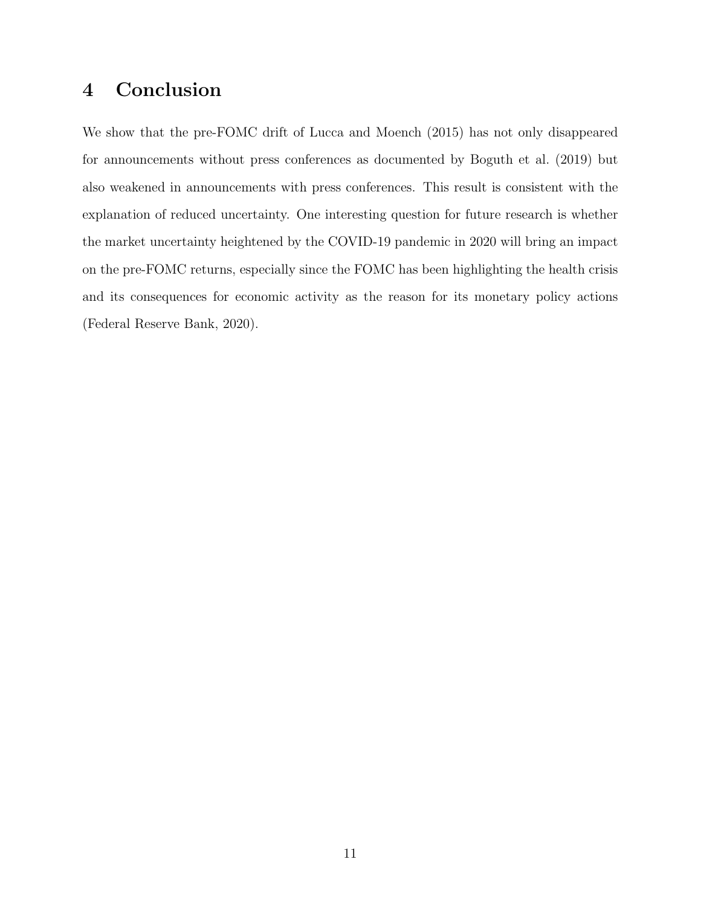# 4 Conclusion

We show that the pre-FOMC drift of Lucca and Moench (2015) has not only disappeared for announcements without press conferences as documented by Boguth et al. (2019) but also weakened in announcements with press conferences. This result is consistent with the explanation of reduced uncertainty. One interesting question for future research is whether the market uncertainty heightened by the COVID-19 pandemic in 2020 will bring an impact on the pre-FOMC returns, especially since the FOMC has been highlighting the health crisis and its consequences for economic activity as the reason for its monetary policy actions (Federal Reserve Bank, 2020).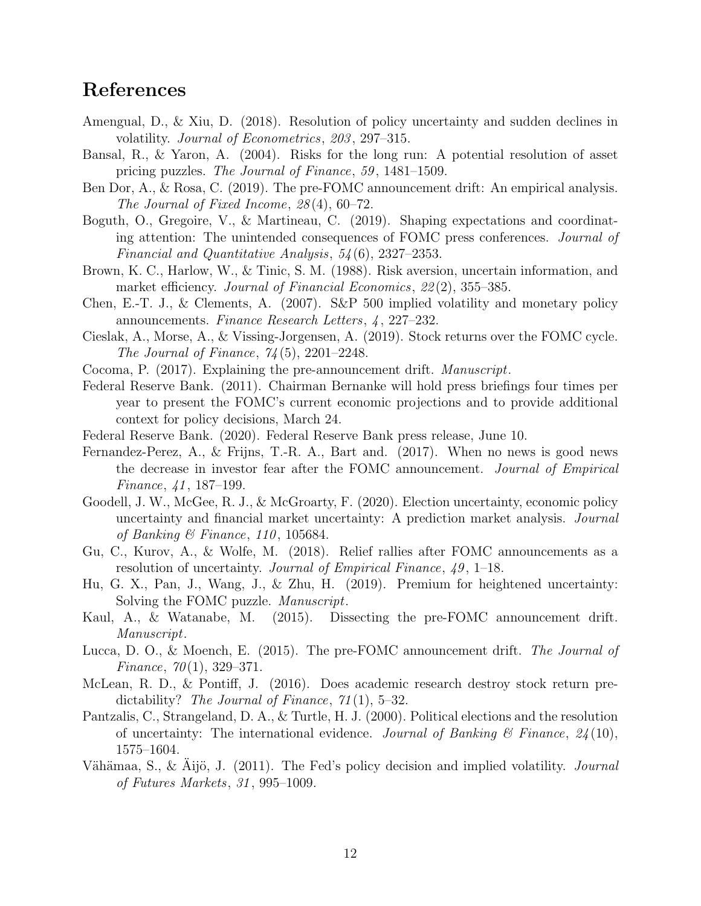# References

- Amengual, D., & Xiu, D. (2018). Resolution of policy uncertainty and sudden declines in volatility. Journal of Econometrics, 203, 297–315.
- Bansal, R., & Yaron, A. (2004). Risks for the long run: A potential resolution of asset pricing puzzles. The Journal of Finance, 59 , 1481–1509.
- Ben Dor, A., & Rosa, C. (2019). The pre-FOMC announcement drift: An empirical analysis. The Journal of Fixed Income, 28 (4), 60–72.
- Boguth, O., Gregoire, V., & Martineau, C. (2019). Shaping expectations and coordinating attention: The unintended consequences of FOMC press conferences. Journal of Financial and Quantitative Analysis, 54 (6), 2327–2353.
- Brown, K. C., Harlow, W., & Tinic, S. M. (1988). Risk aversion, uncertain information, and market efficiency. Journal of Financial Economics, 22(2), 355–385.
- Chen, E.-T. J., & Clements, A. (2007). S&P 500 implied volatility and monetary policy announcements. Finance Research Letters, 4, 227–232.
- Cieslak, A., Morse, A., & Vissing-Jorgensen, A. (2019). Stock returns over the FOMC cycle. The Journal of Finance,  $74(5)$ ,  $2201-2248$ .
- Cocoma, P. (2017). Explaining the pre-announcement drift. Manuscript.
- Federal Reserve Bank. (2011). Chairman Bernanke will hold press briefings four times per year to present the FOMC's current economic projections and to provide additional context for policy decisions, March 24.
- Federal Reserve Bank. (2020). Federal Reserve Bank press release, June 10.
- Fernandez-Perez, A., & Frijns, T.-R. A., Bart and. (2017). When no news is good news the decrease in investor fear after the FOMC announcement. Journal of Empirical Finance, 41, 187–199.
- Goodell, J. W., McGee, R. J., & McGroarty, F. (2020). Election uncertainty, economic policy uncertainty and financial market uncertainty: A prediction market analysis. Journal of Banking & Finance, 110, 105684.
- Gu, C., Kurov, A., & Wolfe, M. (2018). Relief rallies after FOMC announcements as a resolution of uncertainty. *Journal of Empirical Finance*, 49, 1–18.
- Hu, G. X., Pan, J., Wang, J., & Zhu, H. (2019). Premium for heightened uncertainty: Solving the FOMC puzzle. Manuscript.
- Kaul, A., & Watanabe, M. (2015). Dissecting the pre-FOMC announcement drift. Manuscript.
- Lucca, D. O., & Moench, E. (2015). The pre-FOMC announcement drift. The Journal of Finance,  $70(1)$ , 329–371.
- McLean, R. D., & Pontiff, J. (2016). Does academic research destroy stock return predictability? The Journal of Finance,  $71(1)$ , 5–32.
- Pantzalis, C., Strangeland, D. A., & Turtle, H. J. (2000). Political elections and the resolution of uncertainty: The international evidence. Journal of Banking  $\mathcal C$  Finance,  $24(10)$ , 1575–1604.
- Vähämaa, S., & Aijö, J. (2011). The Fed's policy decision and implied volatility. *Journal* of Futures Markets, 31 , 995–1009.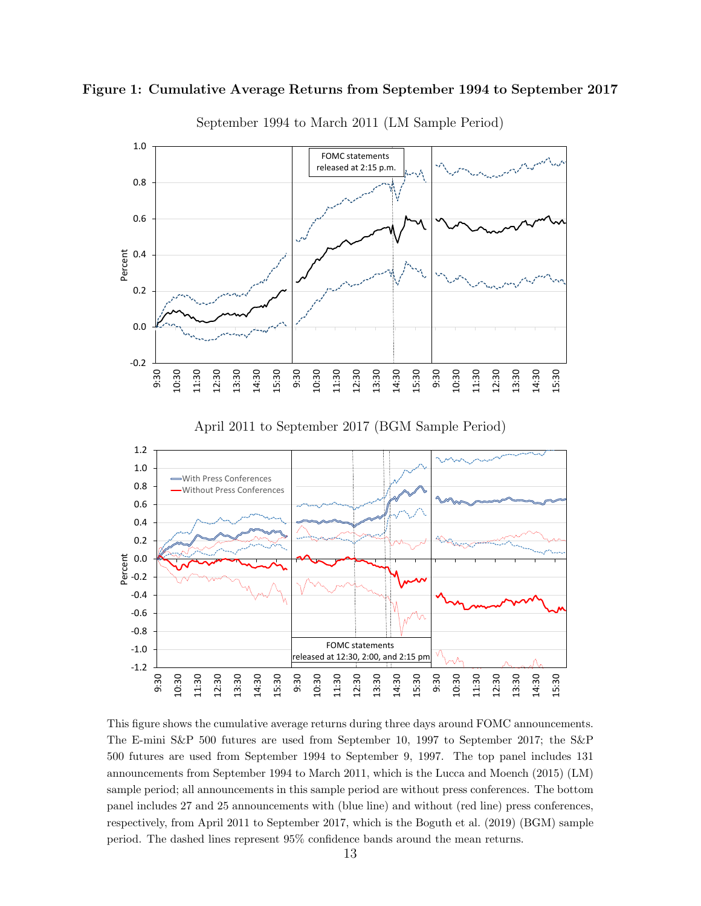



September 1994 to March 2011 (LM Sample Period)

This figure shows the cumulative average returns during three days around FOMC announcements. The E-mini S&P 500 futures are used from September 10, 1997 to September 2017; the S&P 500 futures are used from September 1994 to September 9, 1997. The top panel includes 131 announcements from September 1994 to March 2011, which is the Lucca and Moench (2015) (LM) sample period; all announcements in this sample period are without press conferences. The bottom panel includes 27 and 25 announcements with (blue line) and without (red line) press conferences, respectively, from April 2011 to September 2017, which is the Boguth et al. (2019) (BGM) sample period. The dashed lines represent 95% confidence bands around the mean returns.

9:30 10:30 11:30 12:30 13:30 14:30 15:30 9:30 10:30 11:30 12:30 13:30 14:30 15:30 9:30 10:30 11:30 12:30 13:30 14:30 15:30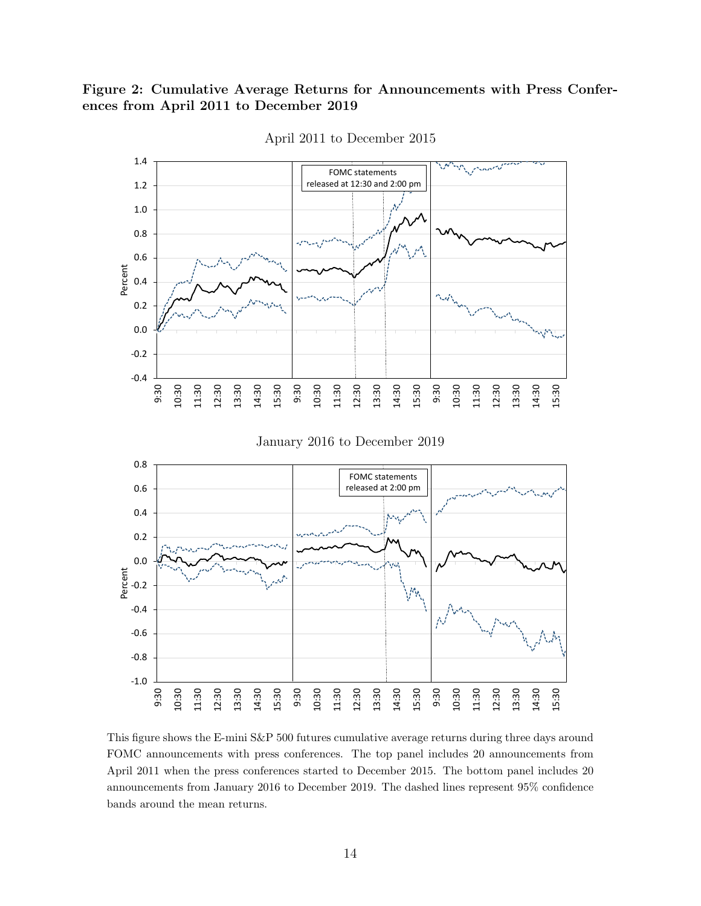### Figure 2: Cumulative Average Returns for Announcements with Press Conferences from April 2011 to December 2019



April 2011 to December 2015

This figure shows the E-mini S&P 500 futures cumulative average returns during three days around FOMC announcements with press conferences. The top panel includes 20 announcements from April 2011 when the press conferences started to December 2015. The bottom panel includes 20 announcements from January 2016 to December 2019. The dashed lines represent 95% confidence bands around the mean returns.

-1.0

9:30 10:30 11:30 12:30 13:30 14:30 15:30 9:30 10:30 11:30 12:30 13:30 14:30 15:30 9:30 10:30 11:30 12:30 13:30 14:30 15:30

-0.8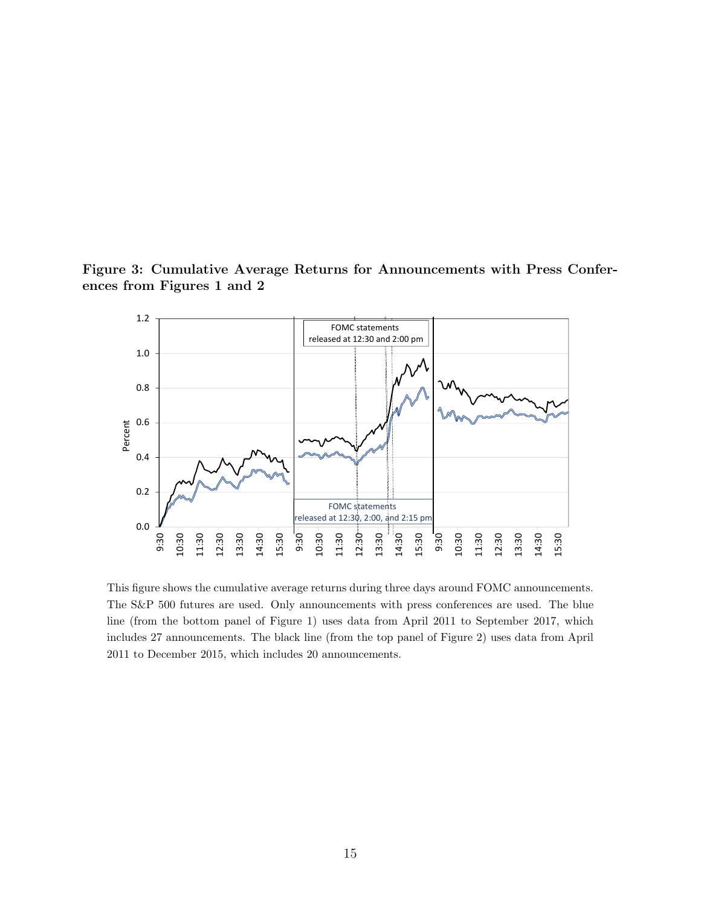Figure 3: Cumulative Average Returns for Announcements with Press Conferences from Figures 1 and 2



This figure shows the cumulative average returns during three days around FOMC announcements. The S&P 500 futures are used. Only announcements with press conferences are used. The blue line (from the bottom panel of Figure 1) uses data from April 2011 to September 2017, which includes 27 announcements. The black line (from the top panel of Figure 2) uses data from April 2011 to December 2015, which includes 20 announcements.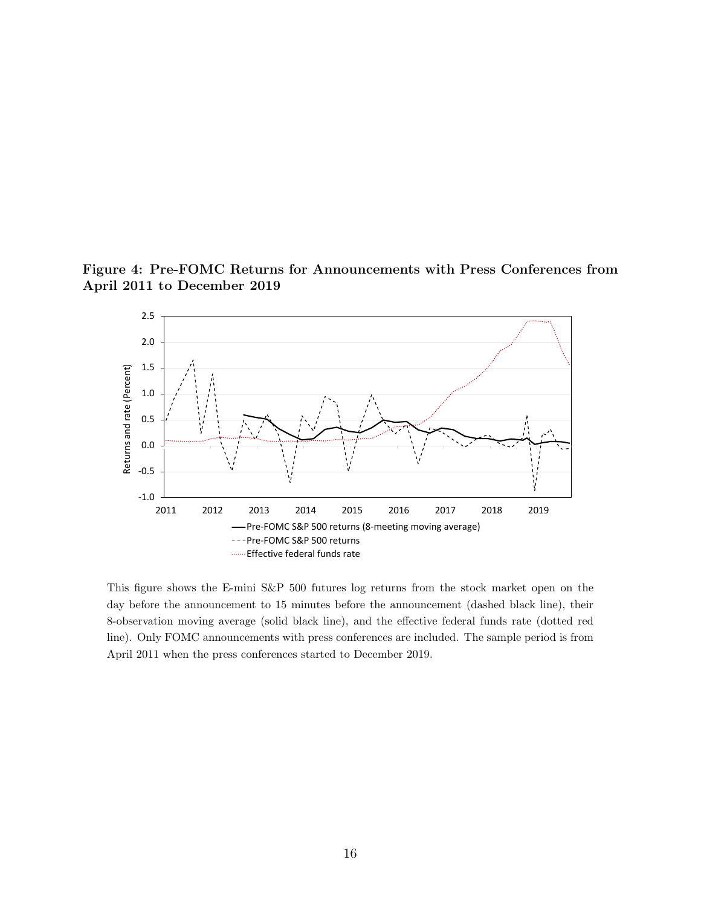Figure 4: Pre-FOMC Returns for Announcements with Press Conferences from April 2011 to December 2019



This figure shows the E-mini S&P 500 futures log returns from the stock market open on the day before the announcement to 15 minutes before the announcement (dashed black line), their 8-observation moving average (solid black line), and the effective federal funds rate (dotted red line). Only FOMC announcements with press conferences are included. The sample period is from April 2011 when the press conferences started to December 2019.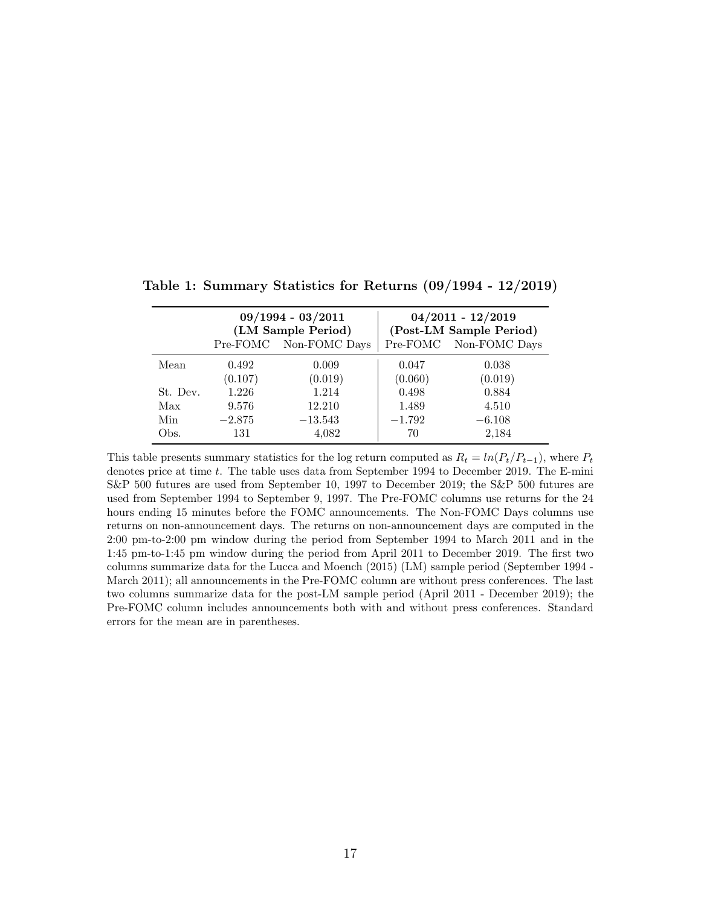|          | $09/1994 - 03/2011$<br>(LM Sample Period) |                        | $04/2011 - 12/2019$<br>(Post-LM Sample Period) |                        |  |
|----------|-------------------------------------------|------------------------|------------------------------------------------|------------------------|--|
|          |                                           | Pre-FOMC Non-FOMC Days |                                                | Pre-FOMC Non-FOMC Days |  |
| Mean     | 0.492                                     | 0.009                  | 0.047                                          | 0.038                  |  |
|          | (0.107)                                   | (0.019)                | (0.060)                                        | (0.019)                |  |
| St. Dev. | 1.226                                     | 1.214                  | 0.498                                          | 0.884                  |  |
| Max      | 9.576                                     | 12.210                 | 1.489                                          | 4.510                  |  |
| Min      | $-2.875$                                  | $-13.543$              | $-1.792$                                       | $-6.108$               |  |
| Obs.     | 131                                       | 4,082                  | 70                                             | 2,184                  |  |

Table 1: Summary Statistics for Returns (09/1994 - 12/2019)

This table presents summary statistics for the log return computed as  $R_t = ln(P_t/P_{t-1})$ , where  $P_t$ denotes price at time t. The table uses data from September 1994 to December 2019. The E-mini S&P 500 futures are used from September 10, 1997 to December 2019; the S&P 500 futures are used from September 1994 to September 9, 1997. The Pre-FOMC columns use returns for the 24 hours ending 15 minutes before the FOMC announcements. The Non-FOMC Days columns use returns on non-announcement days. The returns on non-announcement days are computed in the 2:00 pm-to-2:00 pm window during the period from September 1994 to March 2011 and in the 1:45 pm-to-1:45 pm window during the period from April 2011 to December 2019. The first two columns summarize data for the Lucca and Moench (2015) (LM) sample period (September 1994 - March 2011); all announcements in the Pre-FOMC column are without press conferences. The last two columns summarize data for the post-LM sample period (April 2011 - December 2019); the Pre-FOMC column includes announcements both with and without press conferences. Standard errors for the mean are in parentheses.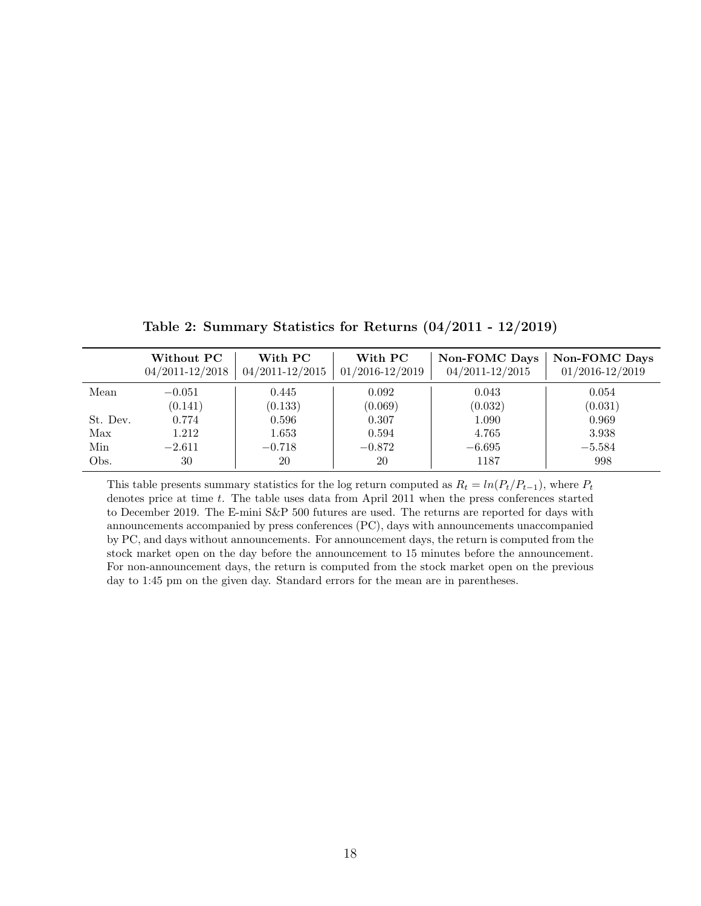|          | Without PC<br>$04/2011 - 12/2018$ | With PC<br>$04/2011 - 12/2015$ | With PC<br>$01/2016 - 12/2019$ | Non-FOMC Days<br>$04/2011 - 12/2015$ | <b>Non-FOMC Days</b><br>$01/2016 - 12/2019$ |
|----------|-----------------------------------|--------------------------------|--------------------------------|--------------------------------------|---------------------------------------------|
| Mean     | $-0.051$                          | 0.445                          | 0.092                          | 0.043                                | 0.054                                       |
|          | (0.141)                           | (0.133)                        | (0.069)                        | (0.032)                              | (0.031)                                     |
| St. Dev. | 0.774                             | 0.596                          | 0.307                          | 1.090                                | 0.969                                       |
| Max      | 1.212                             | 1.653                          | 0.594                          | 4.765                                | 3.938                                       |
| Min      | $-2.611$                          | $-0.718$                       | $-0.872$                       | $-6.695$                             | $-5.584$                                    |
| Obs.     | 30                                | 20                             | 20                             | 1187                                 | 998                                         |

Table 2: Summary Statistics for Returns (04/2011 - 12/2019)

This table presents summary statistics for the log return computed as  $R_t = ln(P_t/P_{t-1})$ , where  $P_t$ denotes price at time  $t$ . The table uses data from April 2011 when the press conferences started to December 2019. The E-mini S&P 500 futures are used. The returns are reported for days with announcements accompanied by press conferences (PC), days with announcements unaccompanied by PC, and days without announcements. For announcement days, the return is computed from the stock market open on the day before the announcement to 15 minutes before the announcement. For non-announcement days, the return is computed from the stock market open on the previous day to 1:45 pm on the given day. Standard errors for the mean are in parentheses.